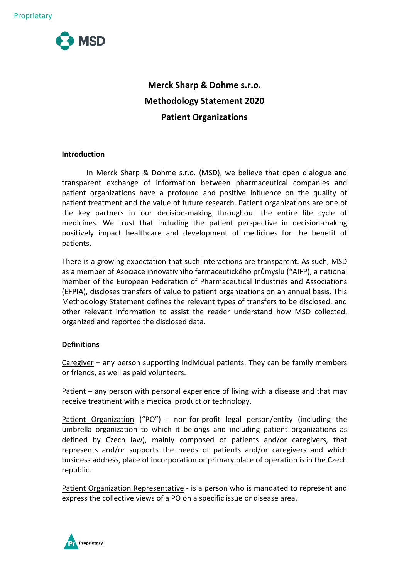

# **Merck Sharp & Dohme s.r.o. Methodology Statement 2020 Patient Organizations**

# **Introduction**

In Merck Sharp & Dohme s.r.o. (MSD), we believe that open dialogue and transparent exchange of information between pharmaceutical companies and patient organizations have a profound and positive influence on the quality of patient treatment and the value of future research. Patient organizations are one of the key partners in our decision-making throughout the entire life cycle of medicines. We trust that including the patient perspective in decision-making positively impact healthcare and development of medicines for the benefit of patients.

There is a growing expectation that such interactions are transparent. As such, MSD as a member of Asociace innovativního farmaceutického průmyslu ("AIFP), a national member of the European Federation of Pharmaceutical Industries and Associations (EFPIA), discloses transfers of value to patient organizations on an annual basis. This Methodology Statement defines the relevant types of transfers to be disclosed, and other relevant information to assist the reader understand how MSD collected, organized and reported the disclosed data.

### **Definitions**

Caregiver – any person supporting individual patients. They can be family members or friends, as well as paid volunteers.

Patient – any person with personal experience of living with a disease and that may receive treatment with a medical product or technology.

Patient Organization ("PO") - non-for-profit legal person/entity (including the umbrella organization to which it belongs and including patient organizations as defined by Czech law), mainly composed of patients and/or caregivers, that represents and/or supports the needs of patients and/or caregivers and which business address, place of incorporation or primary place of operation is in the Czech republic.

Patient Organization Representative - is a person who is mandated to represent and express the collective views of a PO on a specific issue or disease area.

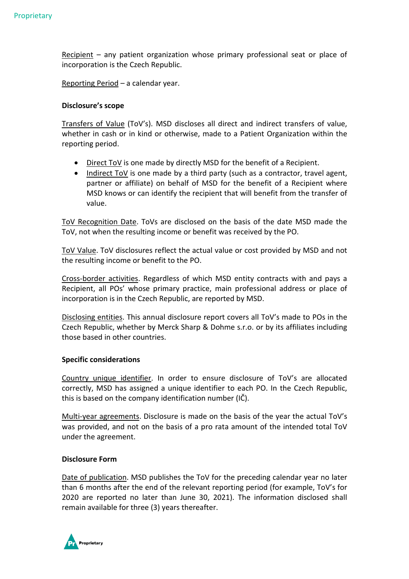Recipient – any patient organization whose primary professional seat or place of incorporation is the Czech Republic.

Reporting Period – a calendar year.

## **Disclosure's scope**

Transfers of Value (ToV's). MSD discloses all direct and indirect transfers of value, whether in cash or in kind or otherwise, made to a Patient Organization within the reporting period.

- Direct ToV is one made by directly MSD for the benefit of a Recipient.
- Indirect ToV is one made by a third party (such as a contractor, travel agent, partner or affiliate) on behalf of MSD for the benefit of a Recipient where MSD knows or can identify the recipient that will benefit from the transfer of value.

ToV Recognition Date. ToVs are disclosed on the basis of the date MSD made the ToV, not when the resulting income or benefit was received by the PO.

ToV Value. ToV disclosures reflect the actual value or cost provided by MSD and not the resulting income or benefit to the PO.

Cross-border activities. Regardless of which MSD entity contracts with and pays a Recipient, all POs' whose primary practice, main professional address or place of incorporation is in the Czech Republic, are reported by MSD.

Disclosing entities. This annual disclosure report covers all ToV's made to POs in the Czech Republic, whether by Merck Sharp & Dohme s.r.o. or by its affiliates including those based in other countries.

### **Specific considerations**

Country unique identifier. In order to ensure disclosure of ToV's are allocated correctly, MSD has assigned a unique identifier to each PO. In the Czech Republic, this is based on the company identification number (IČ).

Multi-year agreements. Disclosure is made on the basis of the year the actual ToV's was provided, and not on the basis of a pro rata amount of the intended total ToV under the agreement.

### **Disclosure Form**

Date of publication. MSD publishes the ToV for the preceding calendar year no later than 6 months after the end of the relevant reporting period (for example, ToV's for 2020 are reported no later than June 30, 2021). The information disclosed shall remain available for three (3) years thereafter.